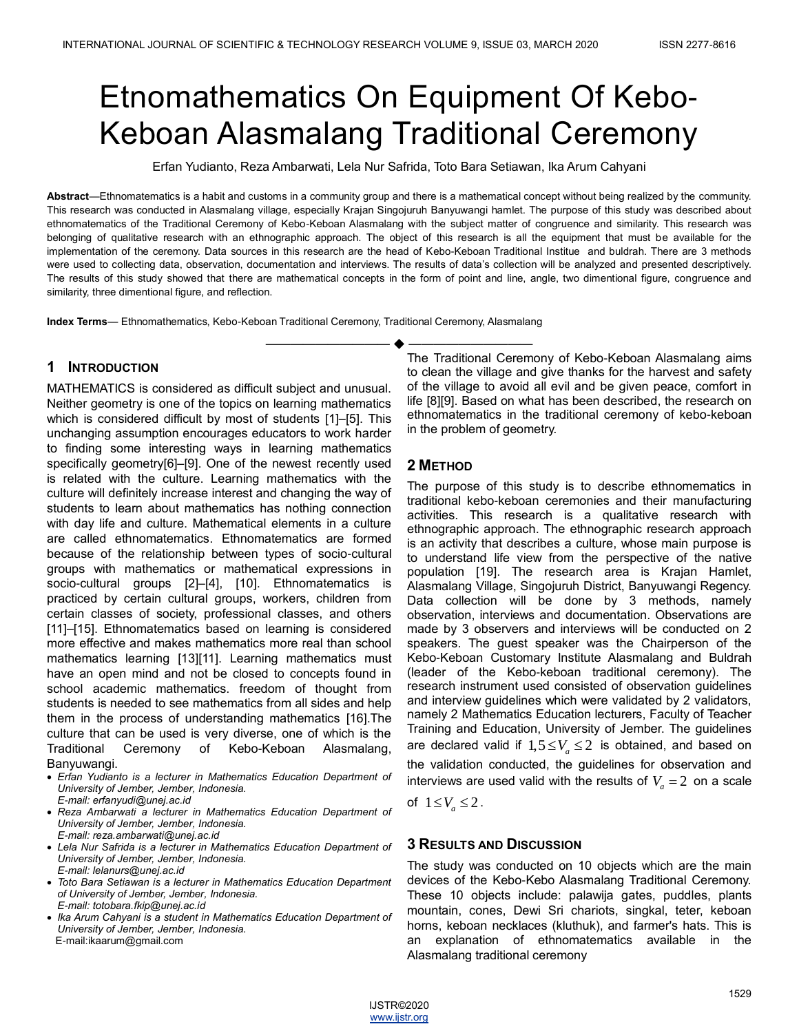# Etnomathematics On Equipment Of Kebo-Keboan Alasmalang Traditional Ceremony

Erfan Yudianto, Reza Ambarwati, Lela Nur Safrida, Toto Bara Setiawan, Ika Arum Cahyani

**Abstract**—Ethnomatematics is a habit and customs in a community group and there is a mathematical concept without being realized by the community. This research was conducted in Alasmalang village, especially Krajan Singojuruh Banyuwangi hamlet. The purpose of this study was described about ethnomatematics of the Traditional Ceremony of Kebo-Keboan Alasmalang with the subject matter of congruence and similarity. This research was belonging of qualitative research with an ethnographic approach. The object of this research is all the equipment that must be available for the implementation of the ceremony. Data sources in this research are the head of Kebo-Keboan Traditional Institue and buldrah. There are 3 methods were used to collecting data, observation, documentation and interviews. The results of data's collection will be analyzed and presented descriptively. The results of this study showed that there are mathematical concepts in the form of point and line, angle, two dimentional figure, congruence and similarity, three dimentional figure, and reflection.

**Index Terms**— Ethnomathematics, Kebo-Keboan Traditional Ceremony, Traditional Ceremony, Alasmalang

## **1 INTRODUCTION**

MATHEMATICS is considered as difficult subject and unusual. Neither geometry is one of the topics on learning mathematics which is considered difficult by most of students [1]–[5]. This unchanging assumption encourages educators to work harder to finding some interesting ways in learning mathematics specifically geometry[6]–[9]. One of the newest recently used is related with the culture. Learning mathematics with the culture will definitely increase interest and changing the way of students to learn about mathematics has nothing connection with day life and culture. Mathematical elements in a culture are called ethnomatematics. Ethnomatematics are formed because of the relationship between types of socio-cultural groups with mathematics or mathematical expressions in socio-cultural groups [2]–[4], [10]. Ethnomatematics is practiced by certain cultural groups, workers, children from certain classes of society, professional classes, and others [11]–[15]. Ethnomatematics based on learning is considered more effective and makes mathematics more real than school mathematics learning [13][11]. Learning mathematics must have an open mind and not be closed to concepts found in school academic mathematics. freedom of thought from students is needed to see mathematics from all sides and help them in the process of understanding mathematics [16].The culture that can be used is very diverse, one of which is the Traditional Ceremony of Kebo-Keboan Alasmalang, Banyuwangi.

- *Erfan Yudianto is a lecturer in Mathematics Education Department of University of Jember, Jember, Indonesia. E-mail: erfanyudi@unej.ac.id*
- *Reza Ambarwati a lecturer in Mathematics Education Department of University of Jember, Jember, Indonesia.*
- *E-mail: [reza.ambarwati@unej.ac.id](mailto:reza.ambarwati@unej.ac.id) Lela Nur Safrida is a lecturer in Mathematics Education Department of University of Jember, Jember, Indonesia. E-mail: [lelanurs@unej.ac.id](mailto:lelanurs@unej.ac.id)*
- *Toto Bara Setiawan is a lecturer in Mathematics Education Department of University of Jember, Jember, Indonesia. E-mail: [totobara.fkip@unej.ac.id](mailto:totobara.fkip@unej.ac.id)*
- *Ika Arum Cahyani is a student in Mathematics Education Department of University of Jember, Jember, Indonesia.*  E-mail:ikaarum@gmail.com

—————————— —————————— The Traditional Ceremony of Kebo-Keboan Alasmalang aims to clean the village and give thanks for the harvest and safety of the village to avoid all evil and be given peace, comfort in life [8][9]. Based on what has been described, the research on ethnomatematics in the traditional ceremony of kebo-keboan in the problem of geometry.

# **2 METHOD**

The purpose of this study is to describe ethnomematics in traditional kebo-keboan ceremonies and their manufacturing activities. This research is a qualitative research with ethnographic approach. The ethnographic research approach is an activity that describes a culture, whose main purpose is to understand life view from the perspective of the native population [19]. The research area is Krajan Hamlet, Alasmalang Village, Singojuruh District, Banyuwangi Regency. Data collection will be done by 3 methods, namely observation, interviews and documentation. Observations are made by 3 observers and interviews will be conducted on 2 speakers. The guest speaker was the Chairperson of the Kebo-Keboan Customary Institute Alasmalang and Buldrah (leader of the Kebo-keboan traditional ceremony). The research instrument used consisted of observation guidelines and interview guidelines which were validated by 2 validators, namely 2 Mathematics Education lecturers, Faculty of Teacher Training and Education, University of Jember. The guidelines are declared valid if  $1,5 \leq V_a \leq 2$  is obtained, and based on the validation conducted, the guidelines for observation and interviews are used valid with the results of  $V_a = 2$  on a scale

of  $1 \leq V_a \leq 2$ .

## **3 RESULTS AND DISCUSSION**

The study was conducted on 10 objects which are the main devices of the Kebo-Kebo Alasmalang Traditional Ceremony. These 10 objects include: palawija gates, puddles, plants mountain, cones, Dewi Sri chariots, singkal, teter, keboan horns, keboan necklaces (kluthuk), and farmer's hats. This is an explanation of ethnomatematics available in the Alasmalang traditional ceremony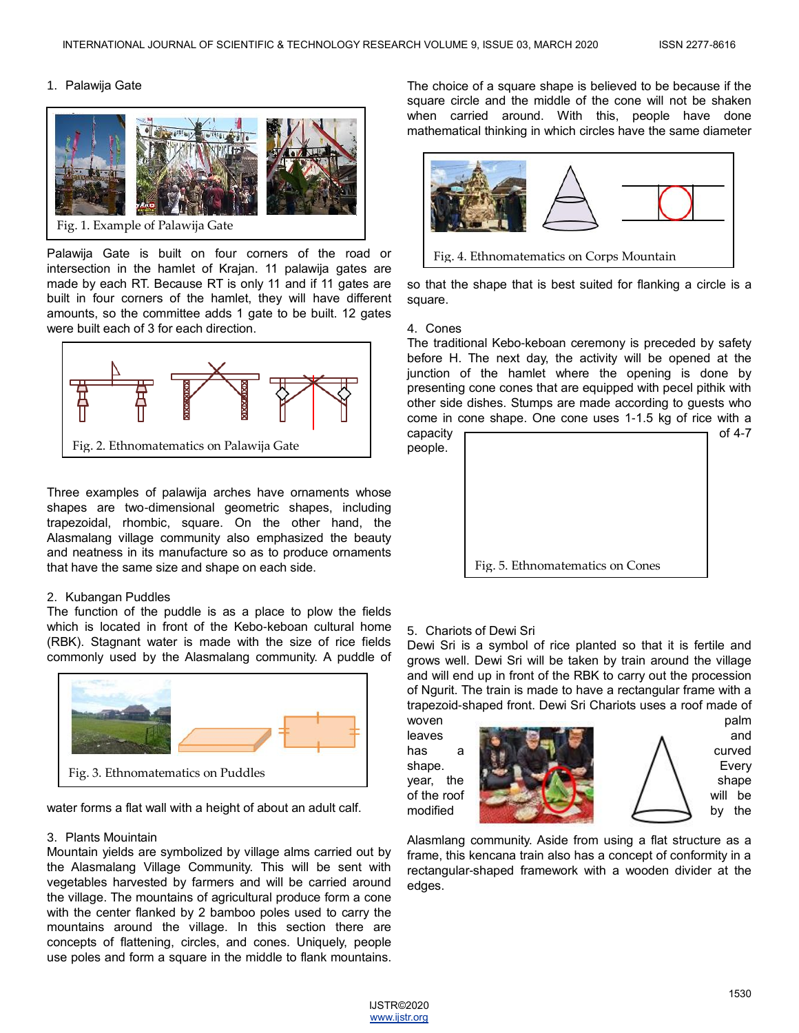#### 1. Palawija Gate



Palawija Gate is built on four corners of the road or intersection in the hamlet of Krajan. 11 palawija gates are made by each RT. Because RT is only 11 and if 11 gates are built in four corners of the hamlet, they will have different amounts, so the committee adds 1 gate to be built. 12 gates were built each of 3 for each direction.



Three examples of palawija arches have ornaments whose shapes are two-dimensional geometric shapes, including trapezoidal, rhombic, square. On the other hand, the Alasmalang village community also emphasized the beauty and neatness in its manufacture so as to produce ornaments that have the same size and shape on each side.

#### 2. Kubangan Puddles

The function of the puddle is as a place to plow the fields which is located in front of the Kebo-keboan cultural home (RBK). Stagnant water is made with the size of rice fields commonly used by the Alasmalang community. A puddle of



water forms a flat wall with a height of about an adult calf.

#### 3. Plants Mouintain

Mountain yields are symbolized by village alms carried out by the Alasmalang Village Community. This will be sent with vegetables harvested by farmers and will be carried around the village. The mountains of agricultural produce form a cone with the center flanked by 2 bamboo poles used to carry the mountains around the village. In this section there are concepts of flattening, circles, and cones. Uniquely, people use poles and form a square in the middle to flank mountains.

The choice of a square shape is believed to be because if the square circle and the middle of the cone will not be shaken when carried around. With this, people have done mathematical thinking in which circles have the same diameter



so that the shape that is best suited for flanking a circle is a square.

#### 4. Cones

The traditional Kebo-keboan ceremony is preceded by safety before H. The next day, the activity will be opened at the junction of the hamlet where the opening is done by presenting cone cones that are equipped with pecel pithik with other side dishes. Stumps are made according to guests who come in cone shape. One cone uses 1-1.5 kg of rice with a capacity  $\sqrt{2}$  capacity  $\sqrt{2}$ 





### 5. Chariots of Dewi Sri

Dewi Sri is a symbol of rice planted so that it is fertile and grows well. Dewi Sri will be taken by train around the village and will end up in front of the RBK to carry out the procession of Ngurit. The train is made to have a rectangular frame with a trapezoid-shaped front. Dewi Sri Chariots uses a roof made of



Alasmlang community. Aside from using a flat structure as a frame, this kencana train also has a concept of conformity in a rectangular-shaped framework with a wooden divider at the edges.

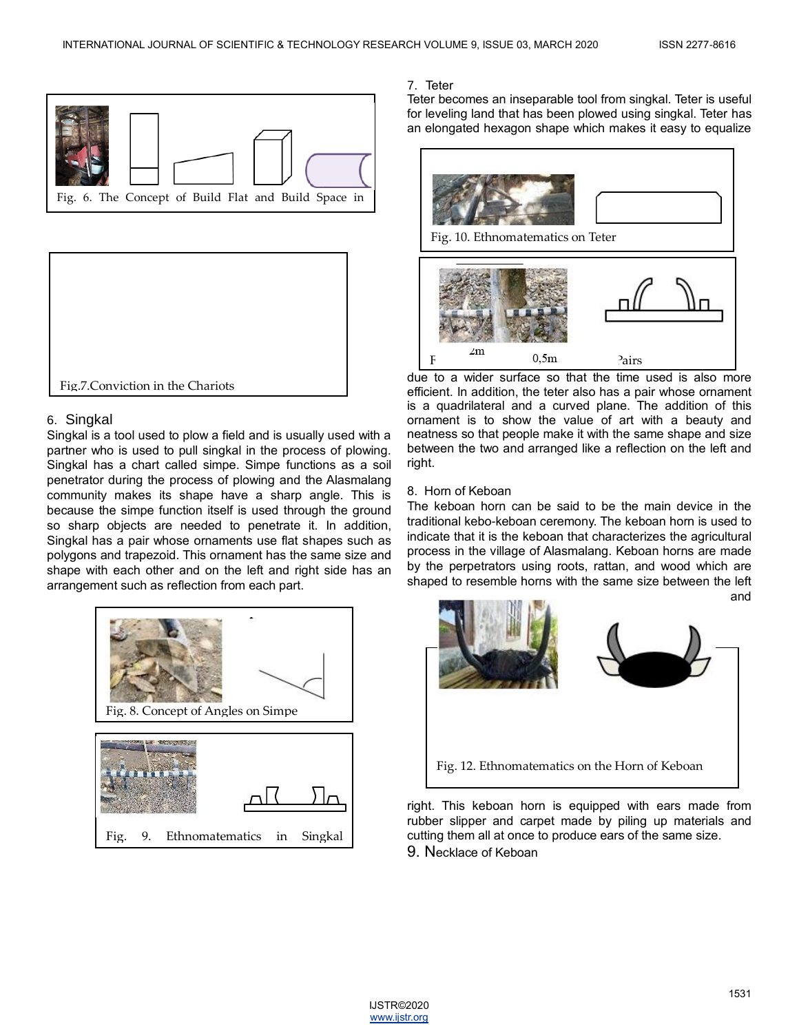



## 6. Singkal

Singkal is a tool used to plow a field and is usually used with a partner who is used to pull singkal in the process of plowing. Singkal has a chart called simpe. Simpe functions as a soil penetrator during the process of plowing and the Alasmalang community makes its shape have a sharp angle. This is because the simpe function itself is used through the ground so sharp objects are needed to penetrate it. In addition, Singkal has a pair whose ornaments use flat shapes such as polygons and trapezoid. This ornament has the same size and shape with each other and on the left and right side has an arrangement such as reflection from each part.



## 7. Teter

Teter becomes an inseparable tool from singkal. Teter is useful for leveling land that has been plowed using singkal. Teter has an elongated hexagon shape which makes it easy to equalize



due to a wider surface so that the time used is also more efficient. In addition, the teter also has a pair whose ornament is a quadrilateral and a curved plane. The addition of this ornament is to show the value of art with a beauty and neatness so that people make it with the same shape and size between the two and arranged like a reflection on the left and right.

## 8. Horn of Keboan

The keboan horn can be said to be the main device in the traditional kebo-keboan ceremony. The keboan horn is used to indicate that it is the keboan that characterizes the agricultural process in the village of Alasmalang. Keboan horns are made by the perpetrators using roots, rattan, and wood which are shaped to resemble horns with the same size between the left and



right. This keboan horn is equipped with ears made from rubber slipper and carpet made by piling up materials and cutting them all at once to produce ears of the same size. 9. Necklace of Keboan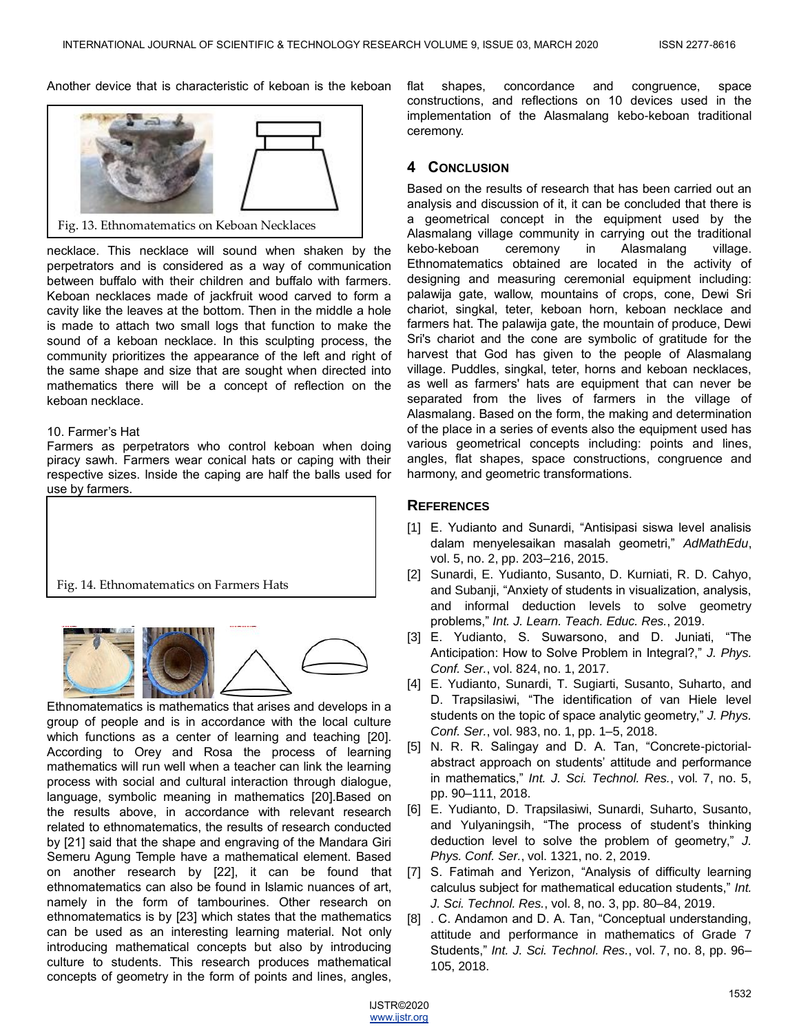Another device that is characteristic of keboan is the keboan



Fig. 13. Ethnomatematics on Keboan Necklaces

necklace. This necklace will sound when shaken by the perpetrators and is considered as a way of communication between buffalo with their children and buffalo with farmers. Keboan necklaces made of jackfruit wood carved to form a cavity like the leaves at the bottom. Then in the middle a hole is made to attach two small logs that function to make the sound of a keboan necklace. In this sculpting process, the community prioritizes the appearance of the left and right of the same shape and size that are sought when directed into mathematics there will be a concept of reflection on the keboan necklace.

#### 10. Farmer's Hat

Farmers as perpetrators who control keboan when doing piracy sawh. Farmers wear conical hats or caping with their respective sizes. Inside the caping are half the balls used for use by farmers.





Ethnomatematics is mathematics that arises and develops in a group of people and is in accordance with the local culture which functions as a center of learning and teaching [20]. According to Orey and Rosa the process of learning mathematics will run well when a teacher can link the learning process with social and cultural interaction through dialogue, language, symbolic meaning in mathematics [20].Based on the results above, in accordance with relevant research related to ethnomatematics, the results of research conducted by [21] said that the shape and engraving of the Mandara Giri Semeru Agung Temple have a mathematical element. Based on another research by [22], it can be found that ethnomatematics can also be found in Islamic nuances of art, namely in the form of tambourines. Other research on ethnomatematics is by [23] which states that the mathematics can be used as an interesting learning material. Not only introducing mathematical concepts but also by introducing culture to students. This research produces mathematical concepts of geometry in the form of points and lines, angles,

flat shapes, concordance and congruence, space constructions, and reflections on 10 devices used in the implementation of the Alasmalang kebo-keboan traditional ceremony.

#### **4 CONCLUSION**

Based on the results of research that has been carried out an analysis and discussion of it, it can be concluded that there is a geometrical concept in the equipment used by the Alasmalang village community in carrying out the traditional kebo-keboan ceremony in Alasmalang village. Ethnomatematics obtained are located in the activity of designing and measuring ceremonial equipment including: palawija gate, wallow, mountains of crops, cone, Dewi Sri chariot, singkal, teter, keboan horn, keboan necklace and farmers hat. The palawija gate, the mountain of produce, Dewi Sri's chariot and the cone are symbolic of gratitude for the harvest that God has given to the people of Alasmalang village. Puddles, singkal, teter, horns and keboan necklaces, as well as farmers' hats are equipment that can never be separated from the lives of farmers in the village of Alasmalang. Based on the form, the making and determination of the place in a series of events also the equipment used has various geometrical concepts including: points and lines, angles, flat shapes, space constructions, congruence and harmony, and geometric transformations.

#### **REFERENCES**

- [1] E. Yudianto and Sunardi, "Antisipasi siswa level analisis dalam menyelesaikan masalah geometri,‖ *AdMathEdu*, vol. 5, no. 2, pp. 203–216, 2015.
- [2] Sunardi, E. Yudianto, Susanto, D. Kurniati, R. D. Cahyo, and Subanji, "Anxiety of students in visualization, analysis, and informal deduction levels to solve geometry problems,‖ *Int. J. Learn. Teach. Educ. Res.*, 2019.
- [3] E. Yudianto, S. Suwarsono, and D. Juniati, "The Anticipation: How to Solve Problem in Integral?," J. Phys. *Conf. Ser.*, vol. 824, no. 1, 2017.
- [4] E. Yudianto, Sunardi, T. Sugiarti, Susanto, Suharto, and D. Trapsilasiwi, "The identification of van Hiele level students on the topic of space analytic geometry," *J. Phys. Conf. Ser.*, vol. 983, no. 1, pp. 1–5, 2018.
- [5] N. R. R. Salingay and D. A. Tan, "Concrete-pictorialabstract approach on students' attitude and performance in mathematics," *Int. J. Sci. Technol. Res.*, vol. 7, no. 5, pp. 90–111, 2018.
- [6] E. Yudianto, D. Trapsilasiwi, Sunardi, Suharto, Susanto, and Yulyaningsih, "The process of student's thinking deduction level to solve the problem of geometry," J. *Phys. Conf. Ser.*, vol. 1321, no. 2, 2019.
- [7] S. Fatimah and Yerizon, "Analysis of difficulty learning calculus subject for mathematical education students," *Int. J. Sci. Technol. Res.*, vol. 8, no. 3, pp. 80–84, 2019.
- [8] . C. Andamon and D. A. Tan, "Conceptual understanding, attitude and performance in mathematics of Grade 7 Students,‖ *Int. J. Sci. Technol. Res.*, vol. 7, no. 8, pp. 96– 105, 2018.